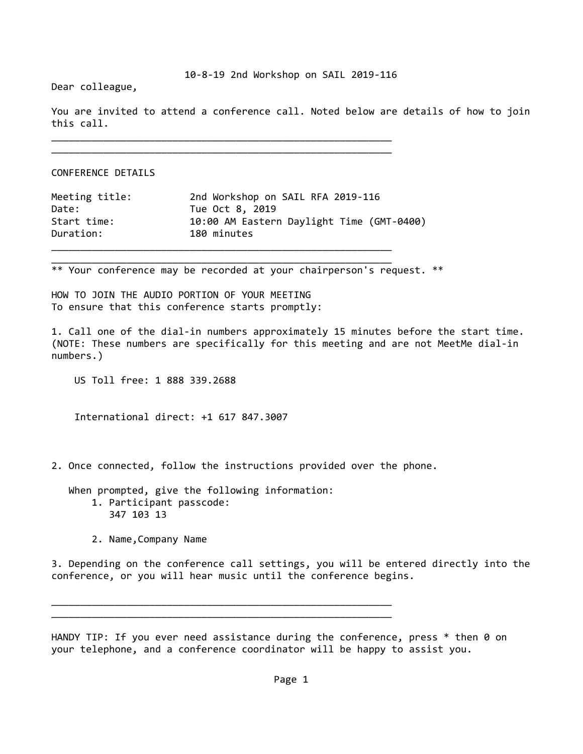Dear colleague,

You are invited to attend a conference call. Noted below are details of how to join this call.

\_\_\_\_\_\_\_\_\_\_\_\_\_\_\_\_\_\_\_\_\_\_\_\_\_\_\_\_\_\_\_\_\_\_\_\_\_\_\_\_\_\_\_\_\_\_\_\_\_\_\_\_\_\_\_\_\_\_\_

CONFERENCE DETAILS

| Meeting title: | 2nd Workshop on SAIL RFA 2019-116         |
|----------------|-------------------------------------------|
| Date:          | Tue Oct 8, 2019                           |
| Start time:    | 10:00 AM Eastern Daylight Time (GMT-0400) |
| Duration:      | 180 minutes                               |
|                |                                           |

\_\_\_\_\_\_\_\_\_\_\_\_\_\_\_\_\_\_\_\_\_\_\_\_\_\_\_\_\_\_\_\_\_\_\_\_\_\_\_\_\_\_\_\_\_\_\_\_\_\_\_\_\_\_\_\_\_\_\_

\_\_\_\_\_\_\_\_\_\_\_\_\_\_\_\_\_\_\_\_\_\_\_\_\_\_\_\_\_\_\_\_\_\_\_\_\_\_\_\_\_\_\_\_\_\_\_\_\_\_\_\_\_\_\_\_\_\_\_

\*\* Your conference may be recorded at your chairperson's request. \*\*

HOW TO JOIN THE AUDIO PORTION OF YOUR MEETING To ensure that this conference starts promptly:

1. Call one of the dial‐in numbers approximately 15 minutes before the start time. (NOTE: These numbers are specifically for this meeting and are not MeetMe dial‐in numbers.)

US Toll free: 1 888 339.2688

International direct: +1 617 847.3007

2. Once connected, follow the instructions provided over the phone.

 When prompted, give the following information: 1. Participant passcode: 347 103 13

\_\_\_\_\_\_\_\_\_\_\_\_\_\_\_\_\_\_\_\_\_\_\_\_\_\_\_\_\_\_\_\_\_\_\_\_\_\_\_\_\_\_\_\_\_\_\_\_\_\_\_\_\_\_\_\_\_\_\_ \_\_\_\_\_\_\_\_\_\_\_\_\_\_\_\_\_\_\_\_\_\_\_\_\_\_\_\_\_\_\_\_\_\_\_\_\_\_\_\_\_\_\_\_\_\_\_\_\_\_\_\_\_\_\_\_\_\_\_

2. Name,Company Name

3. Depending on the conference call settings, you will be entered directly into the conference, or you will hear music until the conference begins.

HANDY TIP: If you ever need assistance during the conference, press  $*$  then 0 on your telephone, and a conference coordinator will be happy to assist you.